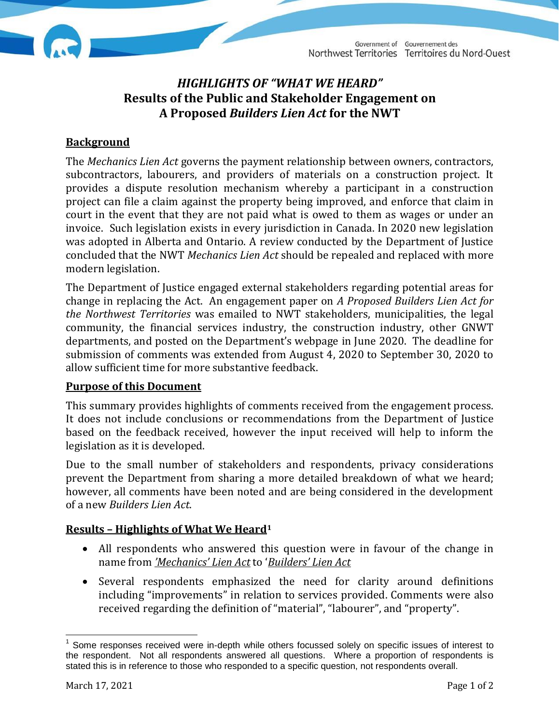# *HIGHLIGHTS OF "WHAT WE HEARD"* **Results of the Public and Stakeholder Engagement on A Proposed** *Builders Lien Act* **for the NWT**

### **Background**

The *Mechanics Lien Act* governs the payment relationship between owners, contractors, subcontractors, labourers, and providers of materials on a construction project. It provides a dispute resolution mechanism whereby a participant in a construction project can file a claim against the property being improved, and enforce that claim in court in the event that they are not paid what is owed to them as wages or under an invoice. Such legislation exists in every jurisdiction in Canada. In 2020 new legislation was adopted in Alberta and Ontario. A review conducted by the Department of Justice concluded that the NWT *Mechanics Lien Act* should be repealed and replaced with more modern legislation.

The Department of Justice engaged external stakeholders regarding potential areas for change in replacing the Act. An engagement paper on *A Proposed Builders Lien Act for the Northwest Territories* was emailed to NWT stakeholders, municipalities, the legal community, the financial services industry, the construction industry, other GNWT departments, and posted on the Department's webpage in June 2020. The deadline for submission of comments was extended from August 4, 2020 to September 30, 2020 to allow sufficient time for more substantive feedback.

#### **Purpose of this Document**

This summary provides highlights of comments received from the engagement process. It does not include conclusions or recommendations from the Department of Justice based on the feedback received, however the input received will help to inform the legislation as it is developed.

Due to the small number of stakeholders and respondents, privacy considerations prevent the Department from sharing a more detailed breakdown of what we heard; however, all comments have been noted and are being considered in the development of a new *Builders Lien Act*.

#### **Results – Highlights of What We Heard<sup>1</sup>**

- All respondents who answered this question were in favour of the change in name from *'Mechanics' Lien Act* to '*Builders' Lien Act*
- Several respondents emphasized the need for clarity around definitions including "improvements" in relation to services provided. Comments were also received regarding the definition of "material", "labourer", and "property".

 $\overline{a}$ 

<sup>&</sup>lt;sup>1</sup> Some responses received were in-depth while others focussed solely on specific issues of interest to the respondent. Not all respondents answered all questions. Where a proportion of respondents is stated this is in reference to those who responded to a specific question, not respondents overall.